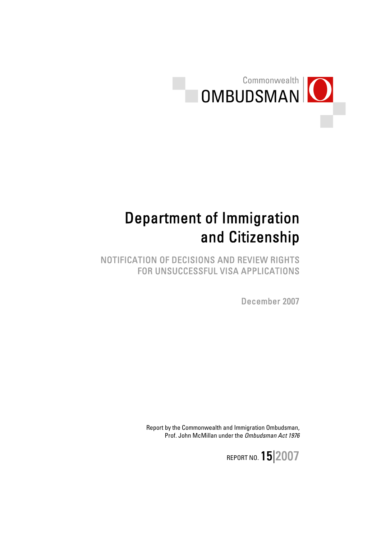

# Department of Immigration and Citizenship

NOTIFICATION OF DECISIONS AND REVIEW RIGHTS FOR UNSUCCESSFUL VISA APPLICATIONS

December 2007

Report by the Commonwealth and Immigration Ombudsman, Prof. John McMillan under the Ombudsman Act 1976

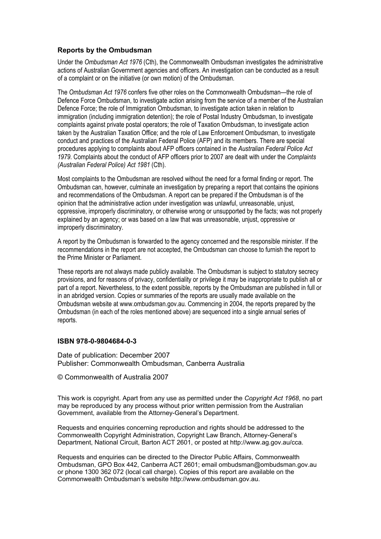#### **Reports by the Ombudsman**

Under the *Ombudsman Act 1976* (Cth), the Commonwealth Ombudsman investigates the administrative actions of Australian Government agencies and officers. An investigation can be conducted as a result of a complaint or on the initiative (or own motion) of the Ombudsman.

The *Ombudsman Act 1976* confers five other roles on the Commonwealth Ombudsman—the role of Defence Force Ombudsman, to investigate action arising from the service of a member of the Australian Defence Force; the role of Immigration Ombudsman, to investigate action taken in relation to immigration (including immigration detention); the role of Postal Industry Ombudsman, to investigate complaints against private postal operators; the role of Taxation Ombudsman, to investigate action taken by the Australian Taxation Office; and the role of Law Enforcement Ombudsman, to investigate conduct and practices of the Australian Federal Police (AFP) and its members. There are special procedures applying to complaints about AFP officers contained in the *Australian Federal Police Act 1979*. Complaints about the conduct of AFP officers prior to 2007 are dealt with under the *Complaints (Australian Federal Police) Act 1981* (Cth).

Most complaints to the Ombudsman are resolved without the need for a formal finding or report. The Ombudsman can, however, culminate an investigation by preparing a report that contains the opinions and recommendations of the Ombudsman. A report can be prepared if the Ombudsman is of the opinion that the administrative action under investigation was unlawful, unreasonable, unjust, oppressive, improperly discriminatory, or otherwise wrong or unsupported by the facts; was not properly explained by an agency; or was based on a law that was unreasonable, unjust, oppressive or improperly discriminatory.

A report by the Ombudsman is forwarded to the agency concerned and the responsible minister. If the recommendations in the report are not accepted, the Ombudsman can choose to furnish the report to the Prime Minister or Parliament.

These reports are not always made publicly available. The Ombudsman is subject to statutory secrecy provisions, and for reasons of privacy, confidentiality or privilege it may be inappropriate to publish all or part of a report. Nevertheless, to the extent possible, reports by the Ombudsman are published in full or in an abridged version. Copies or summaries of the reports are usually made available on the Ombudsman website at www.ombudsman.gov.au. Commencing in 2004, the reports prepared by the Ombudsman (in each of the roles mentioned above) are sequenced into a single annual series of reports.

#### **ISBN 978-0-9804684-0-3**

Date of publication: December 2007 Publisher: Commonwealth Ombudsman, Canberra Australia

© Commonwealth of Australia 2007

This work is copyright. Apart from any use as permitted under the *Copyright Act 1968*, no part may be reproduced by any process without prior written permission from the Australian Government, available from the Attorney-General's Department.

Requests and enquiries concerning reproduction and rights should be addressed to the Commonwealth Copyright Administration, Copyright Law Branch, Attorney-General's Department, National Circuit, Barton ACT 2601, or posted at http://www.ag.gov.au/cca.

Requests and enquiries can be directed to the Director Public Affairs, Commonwealth Ombudsman, GPO Box 442, Canberra ACT 2601; email ombudsman@ombudsman.gov.au or phone 1300 362 072 (local call charge). Copies of this report are available on the Commonwealth Ombudsman's website http://www.ombudsman.gov.au.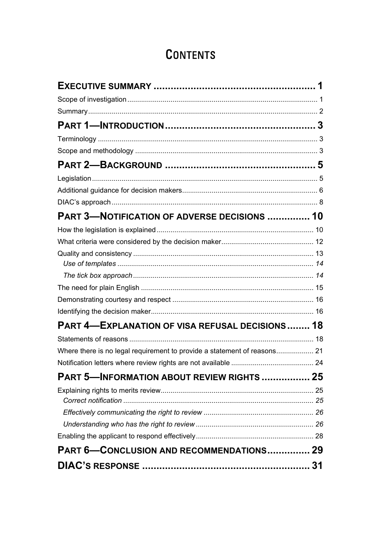## **CONTENTS**

| <b>PART 3-NOTIFICATION OF ADVERSE DECISIONS  10</b>    |  |
|--------------------------------------------------------|--|
|                                                        |  |
|                                                        |  |
|                                                        |  |
|                                                        |  |
|                                                        |  |
|                                                        |  |
|                                                        |  |
|                                                        |  |
| <b>PART 4-EXPLANATION OF VISA REFUSAL DECISIONS 18</b> |  |
|                                                        |  |
|                                                        |  |
|                                                        |  |
| <b>PART 5-INFORMATION ABOUT REVIEW RIGHTS  25</b>      |  |
|                                                        |  |
|                                                        |  |
|                                                        |  |
|                                                        |  |
| <b>PART 6-CONCLUSION AND RECOMMENDATIONS 29</b>        |  |
|                                                        |  |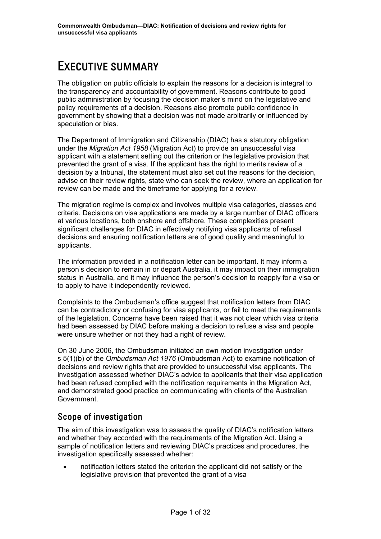## <span id="page-3-0"></span>EXECUTIVE SUMMARY

The obligation on public officials to explain the reasons for a decision is integral to the transparency and accountability of government. Reasons contribute to good public administration by focusing the decision maker's mind on the legislative and policy requirements of a decision. Reasons also promote public confidence in government by showing that a decision was not made arbitrarily or influenced by speculation or bias.

The Department of Immigration and Citizenship (DIAC) has a statutory obligation under the *Migration Act 1958* (Migration Act) to provide an unsuccessful visa applicant with a statement setting out the criterion or the legislative provision that prevented the grant of a visa. If the applicant has the right to merits review of a decision by a tribunal, the statement must also set out the reasons for the decision, advise on their review rights, state who can seek the review, where an application for review can be made and the timeframe for applying for a review.

The migration regime is complex and involves multiple visa categories, classes and criteria. Decisions on visa applications are made by a large number of DIAC officers at various locations, both onshore and offshore. These complexities present significant challenges for DIAC in effectively notifying visa applicants of refusal decisions and ensuring notification letters are of good quality and meaningful to applicants.

The information provided in a notification letter can be important. It may inform a person's decision to remain in or depart Australia, it may impact on their immigration status in Australia, and it may influence the person's decision to reapply for a visa or to apply to have it independently reviewed.

Complaints to the Ombudsman's office suggest that notification letters from DIAC can be contradictory or confusing for visa applicants, or fail to meet the requirements of the legislation. Concerns have been raised that it was not clear which visa criteria had been assessed by DIAC before making a decision to refuse a visa and people were unsure whether or not they had a right of review.

On 30 June 2006, the Ombudsman initiated an own motion investigation under s 5(1)(b) of the *Ombudsman Act 1976* (Ombudsman Act) to examine notification of decisions and review rights that are provided to unsuccessful visa applicants. The investigation assessed whether DIAC's advice to applicants that their visa application had been refused complied with the notification requirements in the Migration Act, and demonstrated good practice on communicating with clients of the Australian Government.

## Scope of investigation

The aim of this investigation was to assess the quality of DIAC's notification letters and whether they accorded with the requirements of the Migration Act. Using a sample of notification letters and reviewing DIAC's practices and procedures, the investigation specifically assessed whether:

• notification letters stated the criterion the applicant did not satisfy or the legislative provision that prevented the grant of a visa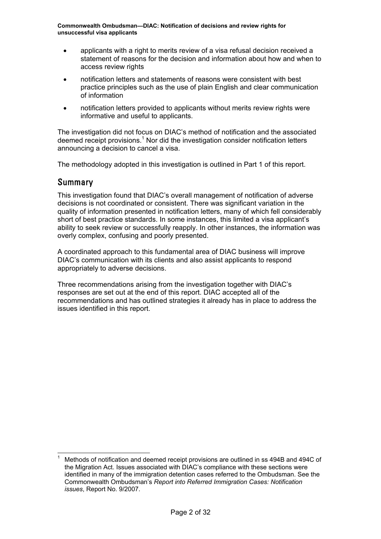- <span id="page-4-0"></span>• applicants with a right to merits review of a visa refusal decision received a statement of reasons for the decision and information about how and when to access review rights
- notification letters and statements of reasons were consistent with best practice principles such as the use of plain English and clear communication of information
- notification letters provided to applicants without merits review rights were informative and useful to applicants.

The investigation did not focus on DIAC's method of notification and the associated deemed receipt provisions.<sup>[1](#page-4-1)</sup> Nor did the investigation consider notification letters announcing a decision to cancel a visa.

The methodology adopted in this investigation is outlined in Part 1 of this report.

### Summary

This investigation found that DIAC's overall management of notification of adverse decisions is not coordinated or consistent. There was significant variation in the quality of information presented in notification letters, many of which fell considerably short of best practice standards. In some instances, this limited a visa applicant's ability to seek review or successfully reapply. In other instances, the information was overly complex, confusing and poorly presented.

A coordinated approach to this fundamental area of DIAC business will improve DIAC's communication with its clients and also assist applicants to respond appropriately to adverse decisions.

Three recommendations arising from the investigation together with DIAC's responses are set out at the end of this report. DIAC accepted all of the recommendations and has outlined strategies it already has in place to address the issues identified in this report.

<span id="page-4-1"></span> $\frac{1}{1}$  Methods of notification and deemed receipt provisions are outlined in ss 494B and 494C of the Migration Act. Issues associated with DIAC's compliance with these sections were identified in many of the immigration detention cases referred to the Ombudsman. See the Commonwealth Ombudsman's *Report into Referred Immigration Cases: Notification issues*, Report No. 9/2007*.*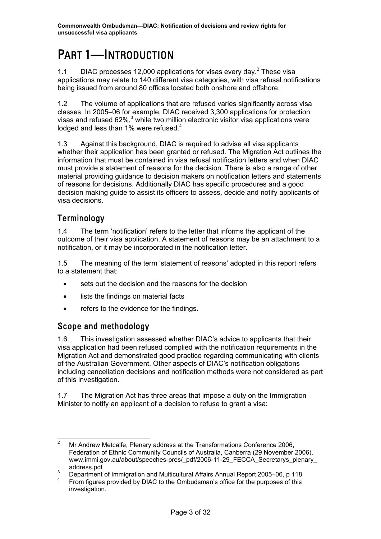## <span id="page-5-0"></span>PART 1—INTRODUCTION

1.1 DIAC processes 1[2](#page-5-1),000 applications for visas every day.<sup>2</sup> These visa applications may relate to 140 different visa categories, with visa refusal notifications being issued from around 80 offices located both onshore and offshore.

1.2 The volume of applications that are refused varies significantly across visa classes. In 2005–06 for example, DIAC received 3,300 applications for protection visas and refused 62%, $3$  while two million electronic visitor visa applications were lodged and less than 1% were refused. $4$ 

1.3 Against this background, DIAC is required to advise all visa applicants whether their application has been granted or refused. The Migration Act outlines the information that must be contained in visa refusal notification letters and when DIAC must provide a statement of reasons for the decision. There is also a range of other material providing guidance to decision makers on notification letters and statements of reasons for decisions. Additionally DIAC has specific procedures and a good decision making guide to assist its officers to assess, decide and notify applicants of visa decisions.

## Terminology

1.4 The term 'notification' refers to the letter that informs the applicant of the outcome of their visa application. A statement of reasons may be an attachment to a notification, or it may be incorporated in the notification letter.

1.5 The meaning of the term 'statement of reasons' adopted in this report refers to a statement that:

- sets out the decision and the reasons for the decision
- lists the findings on material facts
- refers to the evidence for the findings.

## Scope and methodology

1.6 This investigation assessed whether DIAC's advice to applicants that their visa application had been refused complied with the notification requirements in the Migration Act and demonstrated good practice regarding communicating with clients of the Australian Government. Other aspects of DIAC's notification obligations including cancellation decisions and notification methods were not considered as part of this investigation.

1.7 The Migration Act has three areas that impose a duty on the Immigration Minister to notify an applicant of a decision to refuse to grant a visa:

<span id="page-5-1"></span> <sup>2</sup> Mr Andrew Metcalfe, Plenary address at the Transformations Conference 2006, Federation of Ethnic Community Councils of Australia, Canberra (29 November 2006), www.immi.gov.au/about/speeches-pres/\_pdf/2006-11-29\_FECCA\_Secretarys\_plenary address.pdf

<span id="page-5-2"></span>Department of Immigration and Multicultural Affairs Annual Report 2005–06, p 118.

<span id="page-5-3"></span><sup>4</sup> From figures provided by DIAC to the Ombudsman's office for the purposes of this investigation.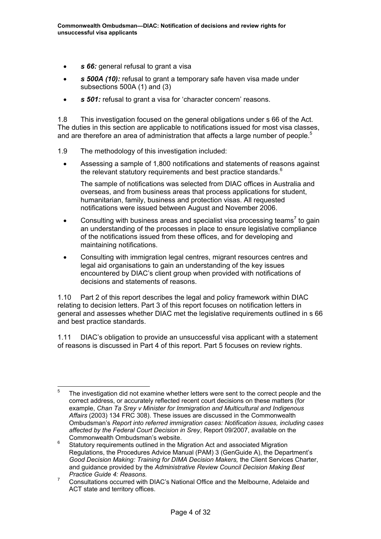- **s 66:** general refusal to grant a visa
- *s 500A (10):* refusal to grant a temporary safe haven visa made under subsections 500A (1) and (3)
- *s 501:* refusal to grant a visa for 'character concern' reasons.

1.8 This investigation focused on the general obligations under s 66 of the Act. The duties in this section are applicable to notifications issued for most visa classes, and are therefore an area of administration that affects a large number of people.<sup>[5](#page-6-0)</sup>

- 1.9 The methodology of this investigation included:
	- Assessing a sample of 1,800 notifications and statements of reasons against the relevant statutory requirements and best practice standards. $6$

The sample of notifications was selected from DIAC offices in Australia and overseas, and from business areas that process applications for student, humanitarian, family, business and protection visas. All requested notifications were issued between August and November 2006.

- •Consulting with business areas and specialist visa processing teams<sup>7</sup> to gain an understanding of the processes in place to ensure legislative compliance of the notifications issued from these offices, and for developing and maintaining notifications.
- Consulting with immigration legal centres, migrant resources centres and legal aid organisations to gain an understanding of the key issues encountered by DIAC's client group when provided with notifications of decisions and statements of reasons.

1.10 Part 2 of this report describes the legal and policy framework within DIAC relating to decision letters. Part 3 of this report focuses on notification letters in general and assesses whether DIAC met the legislative requirements outlined in s 66 and best practice standards.

1.11 DIAC's obligation to provide an unsuccessful visa applicant with a statement of reasons is discussed in Part 4 of this report. Part 5 focuses on review rights.

<span id="page-6-0"></span> <sup>5</sup> The investigation did not examine whether letters were sent to the correct people and the correct address, or accurately reflected recent court decisions on these matters (for example, *Chan Ta Srey v Minister for Immigration and Multicultural and Indigenous Affairs* (2003) 134 FRC 308). These issues are discussed in the Commonwealth Ombudsman's *Report into referred immigration cases: Notification issues, including cases affected by the Federal Court Decision in Srey*, Report 09/2007, available on the Commonwealth Ombudsman's website.

<span id="page-6-1"></span><sup>6</sup> Statutory requirements outlined in the Migration Act and associated Migration Regulations, the Procedures Advice Manual (PAM) 3 (GenGuide A), the Department's *Good Decision Making: Training for DIMA Decision Makers,* the Client Services Charter, and guidance provided by the *Administrative Review Council Decision Making Best Practice Guide 4: Reasons.*

<span id="page-6-2"></span><sup>7</sup> Consultations occurred with DIAC's National Office and the Melbourne, Adelaide and ACT state and territory offices.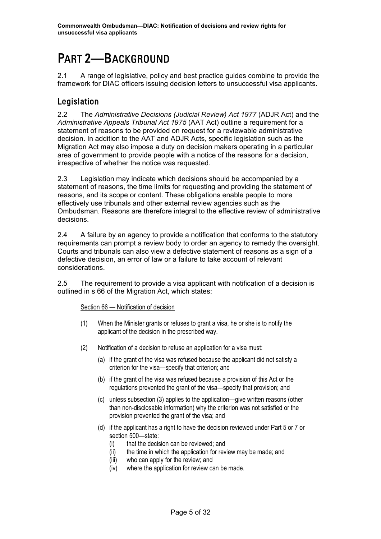## <span id="page-7-0"></span>PART 2—BACKGROUND

2.1 A range of legislative, policy and best practice guides combine to provide the framework for DIAC officers issuing decision letters to unsuccessful visa applicants.

## Legislation

2.2 The *Administrative Decisions (Judicial Review) Act 1977* (ADJR Act) and the *Administrative Appeals Tribunal Act 1975* (AAT Act) outline a requirement for a statement of reasons to be provided on request for a reviewable administrative decision. In addition to the AAT and ADJR Acts, specific legislation such as the Migration Act may also impose a duty on decision makers operating in a particular area of government to provide people with a notice of the reasons for a decision, irrespective of whether the notice was requested.

2.3 Legislation may indicate which decisions should be accompanied by a statement of reasons, the time limits for requesting and providing the statement of reasons, and its scope or content. These obligations enable people to more effectively use tribunals and other external review agencies such as the Ombudsman. Reasons are therefore integral to the effective review of administrative decisions.

2.4 A failure by an agency to provide a notification that conforms to the statutory requirements can prompt a review body to order an agency to remedy the oversight. Courts and tribunals can also view a defective statement of reasons as a sign of a defective decision, an error of law or a failure to take account of relevant considerations.

2.5 The requirement to provide a visa applicant with notification of a decision is outlined in s 66 of the Migration Act, which states:

#### Section 66 — Notification of decision

- (1) When the Minister grants or refuses to grant a visa, he or she is to notify the applicant of the decision in the prescribed way.
- (2) Notification of a decision to refuse an application for a visa must:
	- (a) if the grant of the visa was refused because the applicant did not satisfy a criterion for the visa—specify that criterion; and
	- (b) if the grant of the visa was refused because a provision of this Act or the regulations prevented the grant of the visa—specify that provision; and
	- (c) unless subsection (3) applies to the application—give written reasons (other than non-disclosable information) why the criterion was not satisfied or the provision prevented the grant of the visa; and
	- (d) if the applicant has a right to have the decision reviewed under Part 5 or 7 or section 500—state:
		- (i) that the decision can be reviewed; and
		- (ii) the time in which the application for review may be made; and
		- (iii) who can apply for the review; and
		- (iv) where the application for review can be made.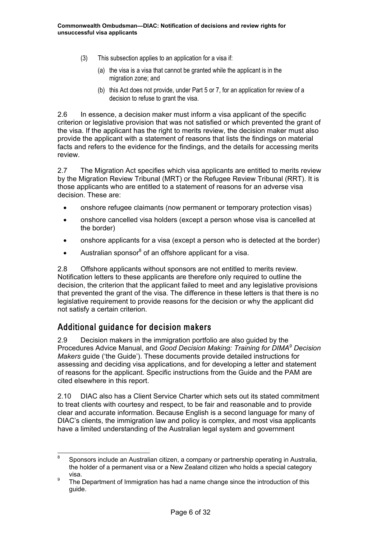- <span id="page-8-0"></span>(3) This subsection applies to an application for a visa if:
	- (a) the visa is a visa that cannot be granted while the applicant is in the migration zone; and
	- (b) this Act does not provide, under Part 5 or 7, for an application for review of a decision to refuse to grant the visa.

2.6 In essence, a decision maker must inform a visa applicant of the specific criterion or legislative provision that was not satisfied or which prevented the grant of the visa. If the applicant has the right to merits review, the decision maker must also provide the applicant with a statement of reasons that lists the findings on material facts and refers to the evidence for the findings, and the details for accessing merits review.

2.7 The Migration Act specifies which visa applicants are entitled to merits review by the Migration Review Tribunal (MRT) or the Refugee Review Tribunal (RRT). It is those applicants who are entitled to a statement of reasons for an adverse visa decision. These are:

- onshore refugee claimants (now permanent or temporary protection visas)
- onshore cancelled visa holders (except a person whose visa is cancelled at the border)
- onshore applicants for a visa (except a person who is detected at the border)
- Australian sponsor<sup>[8](#page-8-1)</sup> of an offshore applicant for a visa.

2.8 Offshore applicants without sponsors are not entitled to merits review. Notification letters to these applicants are therefore only required to outline the decision, the criterion that the applicant failed to meet and any legislative provisions that prevented the grant of the visa. The difference in these letters is that there is no legislative requirement to provide reasons for the decision or why the applicant did not satisfy a certain criterion.

### Additional guidance for decision makers

2.9 Decision makers in the immigration portfolio are also guided by the Procedures Advice Manual, and *Good Decision Making: Training for DIMA[9](#page-8-2) Decision Makers* guide ('the Guide'). These documents provide detailed instructions for assessing and deciding visa applications, and for developing a letter and statement of reasons for the applicant. Specific instructions from the Guide and the PAM are cited elsewhere in this report.

2.10 DIAC also has a Client Service Charter which sets out its stated commitment to treat clients with courtesy and respect, to be fair and reasonable and to provide clear and accurate information. Because English is a second language for many of DIAC's clients, the immigration law and policy is complex, and most visa applicants have a limited understanding of the Australian legal system and government

<span id="page-8-1"></span> <sup>8</sup> Sponsors include an Australian citizen, a company or partnership operating in Australia, the holder of a permanent visa or a New Zealand citizen who holds a special category  $visa.$ <sup>9</sup> The

<span id="page-8-2"></span>The Department of Immigration has had a name change since the introduction of this guide.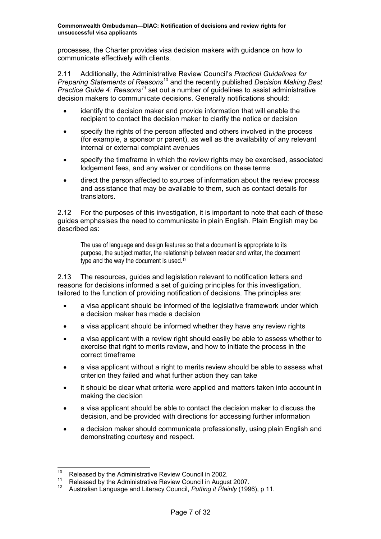processes, the Charter provides visa decision makers with guidance on how to communicate effectively with clients.

2.11 Additionally, the Administrative Review Council's *Practical Guidelines for Preparing Statements of Reasons*[10](#page-9-0) and the recently published *Decision Making Best Practice Guide 4: Reasons[11](#page-9-1)* set out a number of guidelines to assist administrative decision makers to communicate decisions. Generally notifications should:

- identify the decision maker and provide information that will enable the recipient to contact the decision maker to clarify the notice or decision
- specify the rights of the person affected and others involved in the process (for example, a sponsor or parent), as well as the availability of any relevant internal or external complaint avenues
- specify the timeframe in which the review rights may be exercised, associated lodgement fees, and any waiver or conditions on these terms
- direct the person affected to sources of information about the review process and assistance that may be available to them, such as contact details for translators.

2.12 For the purposes of this investigation, it is important to note that each of these guides emphasises the need to communicate in plain English. Plain English may be described as:

The use of language and design features so that a document is appropriate to its purpose, the subject matter, the relationship between reader and writer, the document type and the way the document is used.<sup>[12](#page-9-2)</sup>

2.13 The resources, guides and legislation relevant to notification letters and reasons for decisions informed a set of guiding principles for this investigation, tailored to the function of providing notification of decisions. The principles are:

- a visa applicant should be informed of the legislative framework under which a decision maker has made a decision
- a visa applicant should be informed whether they have any review rights
- a visa applicant with a review right should easily be able to assess whether to exercise that right to merits review, and how to initiate the process in the correct timeframe
- a visa applicant without a right to merits review should be able to assess what criterion they failed and what further action they can take
- it should be clear what criteria were applied and matters taken into account in making the decision
- a visa applicant should be able to contact the decision maker to discuss the decision, and be provided with directions for accessing further information
- a decision maker should communicate professionally, using plain English and demonstrating courtesy and respect.

<span id="page-9-0"></span><sup>&</sup>lt;sup>10</sup> Released by the Administrative Review Council in 2002.

<span id="page-9-1"></span><sup>&</sup>lt;sup>11</sup> Released by the Administrative Review Council in August 2007.

<span id="page-9-2"></span><sup>12</sup> Australian Language and Literacy Council, *Putting it Plainly* (1996), p 11.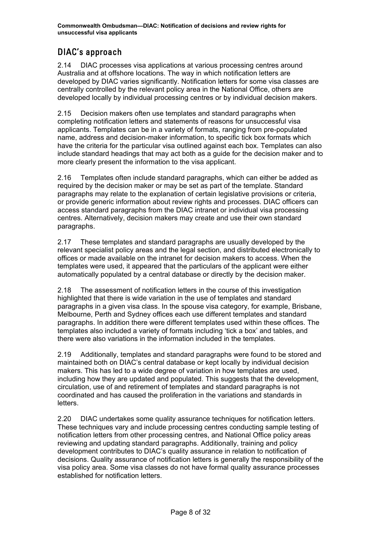## <span id="page-10-0"></span>DIAC's approach

2.14 DIAC processes visa applications at various processing centres around Australia and at offshore locations. The way in which notification letters are developed by DIAC varies significantly. Notification letters for some visa classes are centrally controlled by the relevant policy area in the National Office, others are developed locally by individual processing centres or by individual decision makers.

2.15 Decision makers often use templates and standard paragraphs when completing notification letters and statements of reasons for unsuccessful visa applicants. Templates can be in a variety of formats, ranging from pre-populated name, address and decision-maker information, to specific tick box formats which have the criteria for the particular visa outlined against each box. Templates can also include standard headings that may act both as a guide for the decision maker and to more clearly present the information to the visa applicant.

2.16 Templates often include standard paragraphs, which can either be added as required by the decision maker or may be set as part of the template. Standard paragraphs may relate to the explanation of certain legislative provisions or criteria, or provide generic information about review rights and processes. DIAC officers can access standard paragraphs from the DIAC intranet or individual visa processing centres. Alternatively, decision makers may create and use their own standard paragraphs.

2.17 These templates and standard paragraphs are usually developed by the relevant specialist policy areas and the legal section, and distributed electronically to offices or made available on the intranet for decision makers to access. When the templates were used, it appeared that the particulars of the applicant were either automatically populated by a central database or directly by the decision maker.

2.18 The assessment of notification letters in the course of this investigation highlighted that there is wide variation in the use of templates and standard paragraphs in a given visa class. In the spouse visa category, for example, Brisbane, Melbourne, Perth and Sydney offices each use different templates and standard paragraphs. In addition there were different templates used within these offices. The templates also included a variety of formats including 'tick a box' and tables, and there were also variations in the information included in the templates.

2.19 Additionally, templates and standard paragraphs were found to be stored and maintained both on DIAC's central database or kept locally by individual decision makers. This has led to a wide degree of variation in how templates are used, including how they are updated and populated. This suggests that the development, circulation, use of and retirement of templates and standard paragraphs is not coordinated and has caused the proliferation in the variations and standards in letters.

2.20 DIAC undertakes some quality assurance techniques for notification letters. These techniques vary and include processing centres conducting sample testing of notification letters from other processing centres, and National Office policy areas reviewing and updating standard paragraphs. Additionally, training and policy development contributes to DIAC's quality assurance in relation to notification of decisions. Quality assurance of notification letters is generally the responsibility of the visa policy area. Some visa classes do not have formal quality assurance processes established for notification letters.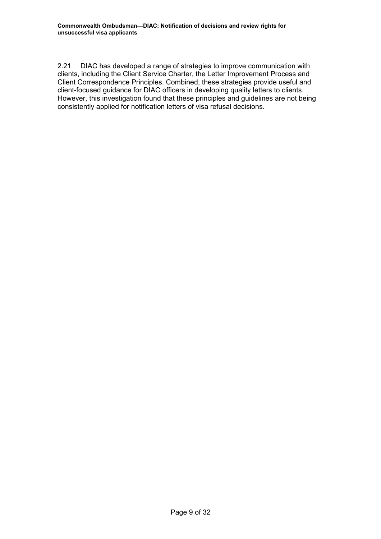2.21 DIAC has developed a range of strategies to improve communication with clients, including the Client Service Charter, the Letter Improvement Process and Client Correspondence Principles. Combined, these strategies provide useful and client-focused guidance for DIAC officers in developing quality letters to clients. However, this investigation found that these principles and guidelines are not being consistently applied for notification letters of visa refusal decisions.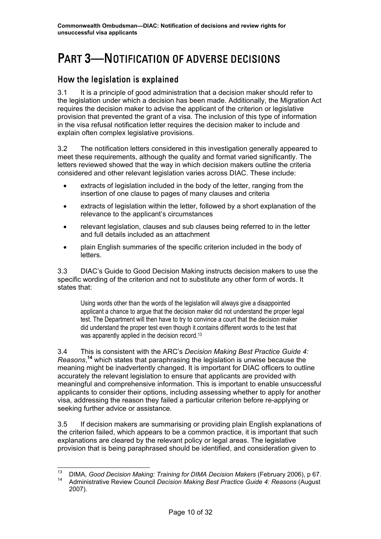## <span id="page-12-0"></span>PART 3—NOTIFICATION OF ADVERSE DECISIONS

### How the legislation is explained

3.1 It is a principle of good administration that a decision maker should refer to the legislation under which a decision has been made. Additionally, the Migration Act requires the decision maker to advise the applicant of the criterion or legislative provision that prevented the grant of a visa. The inclusion of this type of information in the visa refusal notification letter requires the decision maker to include and explain often complex legislative provisions.

3.2 The notification letters considered in this investigation generally appeared to meet these requirements, although the quality and format varied significantly. The letters reviewed showed that the way in which decision makers outline the criteria considered and other relevant legislation varies across DIAC. These include:

- extracts of legislation included in the body of the letter, ranging from the insertion of one clause to pages of many clauses and criteria
- extracts of legislation within the letter, followed by a short explanation of the relevance to the applicant's circumstances
- relevant legislation, clauses and sub clauses being referred to in the letter and full details included as an attachment
- plain English summaries of the specific criterion included in the body of letters.

3.3 DIAC's Guide to Good Decision Making instructs decision makers to use the specific wording of the criterion and not to substitute any other form of words. It states that:

Using words other than the words of the legislation will always give a disappointed applicant a chance to argue that the decision maker did not understand the proper legal test. The Department will then have to try to convince a court that the decision maker did understand the proper test even though it contains different words to the test that was apparently applied in the decision record.<sup>[13](#page-12-1)</sup>

3.4 This is consistent with the ARC's *Decision Making Best Practice Guide 4: Reasons*, **[14](#page-12-2)** which states that paraphrasing the legislation is unwise because the meaning might be inadvertently changed. It is important for DIAC officers to outline accurately the relevant legislation to ensure that applicants are provided with meaningful and comprehensive information. This is important to enable unsuccessful applicants to consider their options, including assessing whether to apply for another visa, addressing the reason they failed a particular criterion before re-applying or seeking further advice or assistance.

3.5 If decision makers are summarising or providing plain English explanations of the criterion failed, which appears to be a common practice, it is important that such explanations are cleared by the relevant policy or legal areas. The legislative provision that is being paraphrased should be identified, and consideration given to

<span id="page-12-2"></span><span id="page-12-1"></span> <sup>13</sup> DIMA, *Good Decision Making: Training for DIMA Decision Makers* (February 2006), p 67. 14 Administrative Review Council *Decision Making Best Practice Guide 4: Reasons* (August 2007).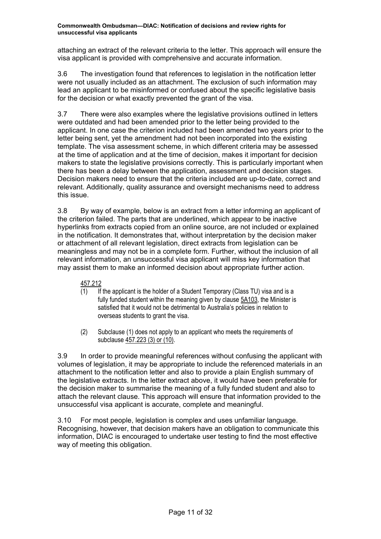attaching an extract of the relevant criteria to the letter. This approach will ensure the visa applicant is provided with comprehensive and accurate information.

3.6 The investigation found that references to legislation in the notification letter were not usually included as an attachment. The exclusion of such information mav lead an applicant to be misinformed or confused about the specific legislative basis for the decision or what exactly prevented the grant of the visa.

3.7 There were also examples where the legislative provisions outlined in letters were outdated and had been amended prior to the letter being provided to the applicant. In one case the criterion included had been amended two years prior to the letter being sent, yet the amendment had not been incorporated into the existing template. The visa assessment scheme, in which different criteria may be assessed at the time of application and at the time of decision, makes it important for decision makers to state the legislative provisions correctly. This is particularly important when there has been a delay between the application, assessment and decision stages. Decision makers need to ensure that the criteria included are up-to-date, correct and relevant. Additionally, quality assurance and oversight mechanisms need to address this issue.

3.8 By way of example, below is an extract from a letter informing an applicant of the criterion failed. The parts that are underlined, which appear to be inactive hyperlinks from extracts copied from an online source, are not included or explained in the notification. It demonstrates that, without interpretation by the decision maker or attachment of all relevant legislation, direct extracts from legislation can be meaningless and may not be in a complete form. Further, without the inclusion of all relevant information, an unsuccessful visa applicant will miss key information that may assist them to make an informed decision about appropriate further action.

#### 457.212

- (1) If the applicant is the holder of a Student Temporary (Class TU) visa and is a fully funded student within the meaning given by clause 5A103, the Minister is satisfied that it would not be detrimental to Australia's policies in relation to overseas students to grant the visa.
- (2) Subclause (1) does not apply to an applicant who meets the requirements of subclause 457.223 (3) or (10).

3.9 In order to provide meaningful references without confusing the applicant with volumes of legislation, it may be appropriate to include the referenced materials in an attachment to the notification letter and also to provide a plain English summary of the legislative extracts. In the letter extract above, it would have been preferable for the decision maker to summarise the meaning of a fully funded student and also to attach the relevant clause. This approach will ensure that information provided to the unsuccessful visa applicant is accurate, complete and meaningful.

3.10 For most people, legislation is complex and uses unfamiliar language. Recognising, however, that decision makers have an obligation to communicate this information, DIAC is encouraged to undertake user testing to find the most effective way of meeting this obligation.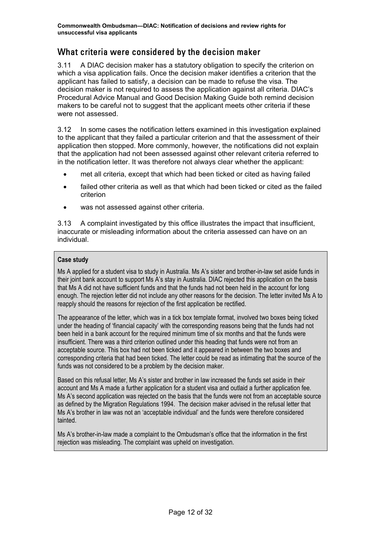## <span id="page-14-0"></span>What criteria were considered by the decision maker

3.11 A DIAC decision maker has a statutory obligation to specify the criterion on which a visa application fails. Once the decision maker identifies a criterion that the applicant has failed to satisfy, a decision can be made to refuse the visa. The decision maker is not required to assess the application against all criteria. DIAC's Procedural Advice Manual and Good Decision Making Guide both remind decision makers to be careful not to suggest that the applicant meets other criteria if these were not assessed.

3.12 In some cases the notification letters examined in this investigation explained to the applicant that they failed a particular criterion and that the assessment of their application then stopped. More commonly, however, the notifications did not explain that the application had not been assessed against other relevant criteria referred to in the notification letter. It was therefore not always clear whether the applicant:

- met all criteria, except that which had been ticked or cited as having failed
- failed other criteria as well as that which had been ticked or cited as the failed criterion
- was not assessed against other criteria.

3.13 A complaint investigated by this office illustrates the impact that insufficient, inaccurate or misleading information about the criteria assessed can have on an individual.

#### **Case study**

Ms A applied for a student visa to study in Australia. Ms A's sister and brother-in-law set aside funds in their joint bank account to support Ms A's stay in Australia. DIAC rejected this application on the basis that Ms A did not have sufficient funds and that the funds had not been held in the account for long enough. The rejection letter did not include any other reasons for the decision. The letter invited Ms A to reapply should the reasons for rejection of the first application be rectified.

The appearance of the letter, which was in a tick box template format, involved two boxes being ticked under the heading of 'financial capacity' with the corresponding reasons being that the funds had not been held in a bank account for the required minimum time of six months and that the funds were insufficient. There was a third criterion outlined under this heading that funds were not from an acceptable source. This box had not been ticked and it appeared in between the two boxes and corresponding criteria that had been ticked. The letter could be read as intimating that the source of the funds was not considered to be a problem by the decision maker.

Based on this refusal letter, Ms A's sister and brother in law increased the funds set aside in their account and Ms A made a further application for a student visa and outlaid a further application fee. Ms A's second application was rejected on the basis that the funds were not from an acceptable source as defined by the Migration Regulations 1994. The decision maker advised in the refusal letter that Ms A's brother in law was not an 'acceptable individual' and the funds were therefore considered tainted.

Ms A's brother-in-law made a complaint to the Ombudsman's office that the information in the first rejection was misleading. The complaint was upheld on investigation.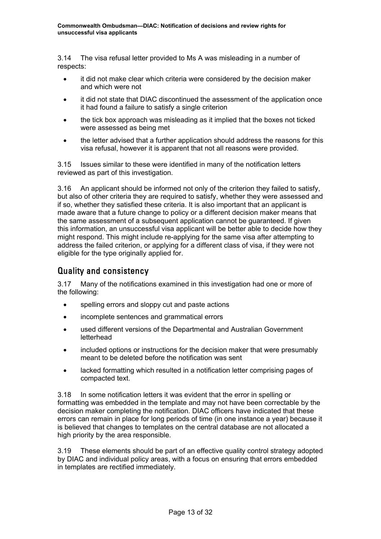<span id="page-15-0"></span>3.14 The visa refusal letter provided to Ms A was misleading in a number of respects:

- it did not make clear which criteria were considered by the decision maker and which were not
- it did not state that DIAC discontinued the assessment of the application once it had found a failure to satisfy a single criterion
- the tick box approach was misleading as it implied that the boxes not ticked were assessed as being met
- the letter advised that a further application should address the reasons for this visa refusal, however it is apparent that not all reasons were provided.

3.15 Issues similar to these were identified in many of the notification letters reviewed as part of this investigation.

3.16 An applicant should be informed not only of the criterion they failed to satisfy, but also of other criteria they are required to satisfy, whether they were assessed and if so, whether they satisfied these criteria. It is also important that an applicant is made aware that a future change to policy or a different decision maker means that the same assessment of a subsequent application cannot be guaranteed. If given this information, an unsuccessful visa applicant will be better able to decide how they might respond. This might include re-applying for the same visa after attempting to address the failed criterion, or applying for a different class of visa, if they were not eligible for the type originally applied for.

### Quality and consistency

3.17 Many of the notifications examined in this investigation had one or more of the following:

- spelling errors and sloppy cut and paste actions
- incomplete sentences and grammatical errors
- used different versions of the Departmental and Australian Government letterhead
- included options or instructions for the decision maker that were presumably meant to be deleted before the notification was sent
- lacked formatting which resulted in a notification letter comprising pages of compacted text.

3.18 In some notification letters it was evident that the error in spelling or formatting was embedded in the template and may not have been correctable by the decision maker completing the notification. DIAC officers have indicated that these errors can remain in place for long periods of time (in one instance a year) because it is believed that changes to templates on the central database are not allocated a high priority by the area responsible.

3.19 These elements should be part of an effective quality control strategy adopted by DIAC and individual policy areas, with a focus on ensuring that errors embedded in templates are rectified immediately.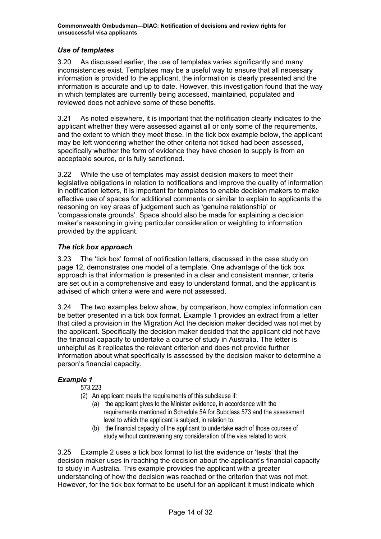#### <span id="page-16-0"></span>*Use of templates*

3.20 As discussed earlier, the use of templates varies significantly and many inconsistencies exist. Templates may be a useful way to ensure that all necessary information is provided to the applicant, the information is clearly presented and the information is accurate and up to date. However, this investigation found that the way in which templates are currently being accessed, maintained, populated and reviewed does not achieve some of these benefits.

3.21 As noted elsewhere, it is important that the notification clearly indicates to the applicant whether they were assessed against all or only some of the requirements, and the extent to which they meet these. In the tick box example below, the applicant may be left wondering whether the other criteria not ticked had been assessed, specifically whether the form of evidence they have chosen to supply is from an acceptable source, or is fully sanctioned.

3.22 While the use of templates may assist decision makers to meet their legislative obligations in relation to notifications and improve the quality of information in notification letters, it is important for templates to enable decision makers to make effective use of spaces for additional comments or similar to explain to applicants the reasoning on key areas of judgement such as 'genuine relationship' or 'compassionate grounds'. Space should also be made for explaining a decision maker's reasoning in giving particular consideration or weighting to information provided by the applicant.

#### *The tick box approach*

3.23 The 'tick box' format of notification letters, discussed in the case study on page 12, demonstrates one model of a template. One advantage of the tick box approach is that information is presented in a clear and consistent manner, criteria are set out in a comprehensive and easy to understand format, and the applicant is advised of which criteria were and were not assessed.

3.24 The two examples below show, by comparison, how complex information can be better presented in a tick box format. Example 1 provides an extract from a letter that cited a provision in the Migration Act the decision maker decided was not met by the applicant. Specifically the decision maker decided that the applicant did not have the financial capacity to undertake a course of study in Australia. The letter is unhelpful as it replicates the relevant criterion and does not provide further information about what specifically is assessed by the decision maker to determine a person's financial capacity.

#### *Example 1*

573.223

- (2) An applicant meets the requirements of this subclause if:
	- (a) the applicant gives to the Minister evidence, in accordance with the requirements mentioned in Schedule 5A for Subclass 573 and the assessment level to which the applicant is subject, in relation to:
	- (b) the financial capacity of the applicant to undertake each of those courses of study without contravening any consideration of the visa related to work.

3.25 Example 2 uses a tick box format to list the evidence or 'tests' that the decision maker uses in reaching the decision about the applicant's financial capacity to study in Australia. This example provides the applicant with a greater understanding of how the decision was reached or the criterion that was not met. However, for the tick box format to be useful for an applicant it must indicate which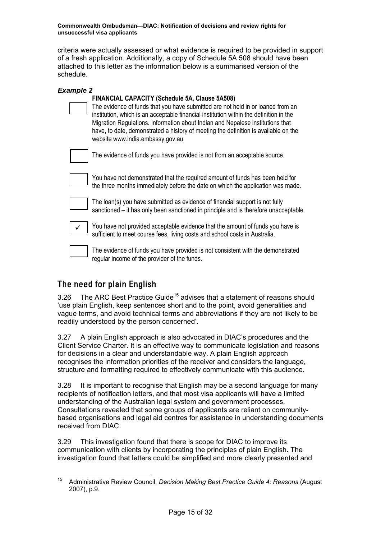<span id="page-17-0"></span>criteria were actually assessed or what evidence is required to be provided in support of a fresh application. Additionally, a copy of Schedule 5A 508 should have been attached to this letter as the information below is a summarised version of the schedule.

| <b>Example 2</b> |                                                                                                                                                                                                                                                                                                                                                                                                                                                 |
|------------------|-------------------------------------------------------------------------------------------------------------------------------------------------------------------------------------------------------------------------------------------------------------------------------------------------------------------------------------------------------------------------------------------------------------------------------------------------|
|                  | <b>FINANCIAL CAPACITY (Schedule 5A, Clause 5A508)</b><br>The evidence of funds that you have submitted are not held in or loaned from an<br>institution, which is an acceptable financial institution within the definition in the<br>Migration Regulations. Information about Indian and Nepalese institutions that<br>have, to date, demonstrated a history of meeting the definition is available on the<br>website www.india.embassy.gov.au |
|                  | The evidence of funds you have provided is not from an acceptable source.                                                                                                                                                                                                                                                                                                                                                                       |
|                  | You have not demonstrated that the required amount of funds has been held for<br>the three months immediately before the date on which the application was made.                                                                                                                                                                                                                                                                                |
|                  | The loan(s) you have submitted as evidence of financial support is not fully<br>sanctioned – it has only been sanctioned in principle and is therefore unacceptable.                                                                                                                                                                                                                                                                            |
| $\checkmark$     | You have not provided acceptable evidence that the amount of funds you have is<br>sufficient to meet course fees, living costs and school costs in Australia.                                                                                                                                                                                                                                                                                   |
|                  | The evidence of funds you have provided is not consistent with the demonstrated<br>regular income of the provider of the funds.                                                                                                                                                                                                                                                                                                                 |

## The need for plain English

3.26 The ARC Best Practice Guide<sup>15</sup> advises that a statement of reasons should 'use plain English, keep sentences short and to the point, avoid generalities and vague terms, and avoid technical terms and abbreviations if they are not likely to be readily understood by the person concerned'.

3.27 A plain English approach is also advocated in DIAC's procedures and the Client Service Charter. It is an effective way to communicate legislation and reasons for decisions in a clear and understandable way. A plain English approach recognises the information priorities of the receiver and considers the language, structure and formatting required to effectively communicate with this audience.

3.28 It is important to recognise that English may be a second language for many recipients of notification letters, and that most visa applicants will have a limited understanding of the Australian legal system and government processes. Consultations revealed that some groups of applicants are reliant on communitybased organisations and legal aid centres for assistance in understanding documents received from DIAC.

3.29 This investigation found that there is scope for DIAC to improve its communication with clients by incorporating the principles of plain English. The investigation found that letters could be simplified and more clearly presented and

<span id="page-17-1"></span> <sup>15</sup> Administrative Review Council, *Decision Making Best Practice Guide 4: Reasons* (August 2007), p.9.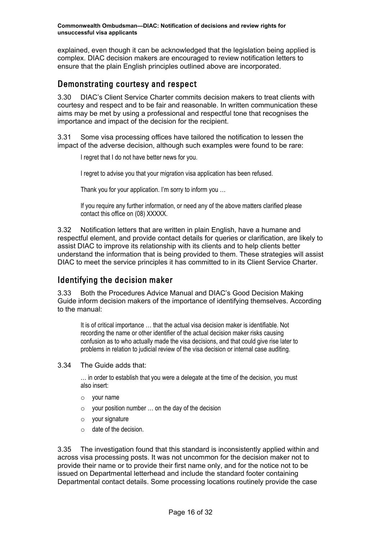<span id="page-18-0"></span>explained, even though it can be acknowledged that the legislation being applied is complex. DIAC decision makers are encouraged to review notification letters to ensure that the plain English principles outlined above are incorporated.

### Demonstrating courtesy and respect

3.30 DIAC's Client Service Charter commits decision makers to treat clients with courtesy and respect and to be fair and reasonable. In written communication these aims may be met by using a professional and respectful tone that recognises the importance and impact of the decision for the recipient.

3.31 Some visa processing offices have tailored the notification to lessen the impact of the adverse decision, although such examples were found to be rare:

I regret that I do not have better news for you.

I regret to advise you that your migration visa application has been refused.

Thank you for your application. I'm sorry to inform you …

If you require any further information, or need any of the above matters clarified please contact this office on (08) XXXXX.

3.32 Notification letters that are written in plain English, have a humane and respectful element, and provide contact details for queries or clarification, are likely to assist DIAC to improve its relationship with its clients and to help clients better understand the information that is being provided to them. These strategies will assist DIAC to meet the service principles it has committed to in its Client Service Charter.

### Identifying the decision maker

3.33 Both the Procedures Advice Manual and DIAC's Good Decision Making Guide inform decision makers of the importance of identifying themselves. According to the manual:

It is of critical importance … that the actual visa decision maker is identifiable. Not recording the name or other identifier of the actual decision maker risks causing confusion as to who actually made the visa decisions, and that could give rise later to problems in relation to judicial review of the visa decision or internal case auditing.

3.34 The Guide adds that:

… in order to establish that you were a delegate at the time of the decision, you must also insert:

- o your name
- $\circ$  your position number  $\ldots$  on the day of the decision
- o your signature
- o date of the decision.

3.35 The investigation found that this standard is inconsistently applied within and across visa processing posts. It was not uncommon for the decision maker not to provide their name or to provide their first name only, and for the notice not to be issued on Departmental letterhead and include the standard footer containing Departmental contact details. Some processing locations routinely provide the case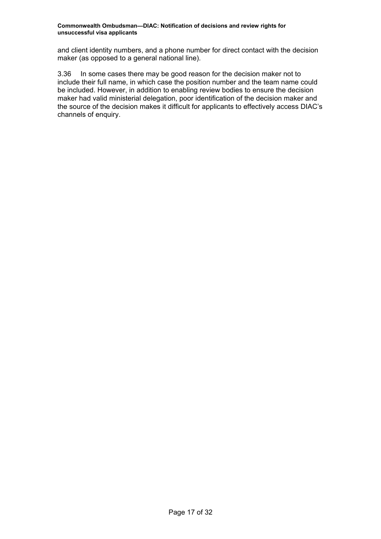and client identity numbers, and a phone number for direct contact with the decision maker (as opposed to a general national line).

3.36 In some cases there may be good reason for the decision maker not to include their full name, in which case the position number and the team name could be included. However, in addition to enabling review bodies to ensure the decision maker had valid ministerial delegation, poor identification of the decision maker and the source of the decision makes it difficult for applicants to effectively access DIAC's channels of enquiry.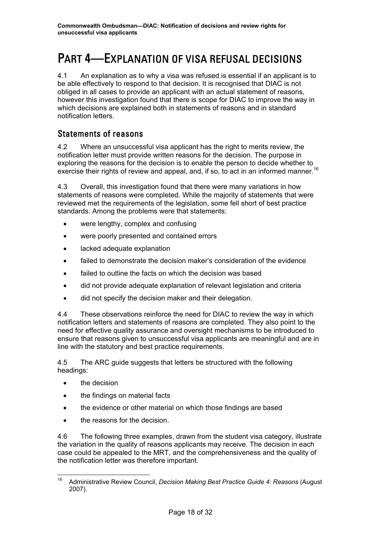## <span id="page-20-0"></span>PART 4—EXPLANATION OF VISA REFUSAL DECISIONS

4.1 An explanation as to why a visa was refused is essential if an applicant is to be able effectively to respond to that decision. It is recognised that DIAC is not obliged in all cases to provide an applicant with an actual statement of reasons, however this investigation found that there is scope for DIAC to improve the way in which decisions are explained both in statements of reasons and in standard notification letters.

### Statements of reasons

4.2 Where an unsuccessful visa applicant has the right to merits review, the notification letter must provide written reasons for the decision. The purpose in exploring the reasons for the decision is to enable the person to decide whether to exercise their rights of review and appeal, and, if so, to act in an informed manner.<sup>[16](#page-20-1)</sup>

4.3 Overall, this investigation found that there were many variations in how statements of reasons were completed. While the majority of statements that were reviewed met the requirements of the legislation, some fell short of best practice standards. Among the problems were that statements:

- were lengthy, complex and confusing
- were poorly presented and contained errors
- lacked adequate explanation
- failed to demonstrate the decision maker's consideration of the evidence
- failed to outline the facts on which the decision was based
- did not provide adequate explanation of relevant legislation and criteria
- did not specify the decision maker and their delegation.

4.4 These observations reinforce the need for DIAC to review the way in which notification letters and statements of reasons are completed. They also point to the need for effective quality assurance and oversight mechanisms to be introduced to ensure that reasons given to unsuccessful visa applicants are meaningful and are in line with the statutory and best practice requirements.

4.5 The ARC guide suggests that letters be structured with the following headings:

- the decision
- the findings on material facts
- the evidence or other material on which those findings are based
- the reasons for the decision.

4.6 The following three examples, drawn from the student visa category, illustrate the variation in the quality of reasons applicants may receive. The decision in each case could be appealed to the MRT, and the comprehensiveness and the quality of the notification letter was therefore important.

<span id="page-20-1"></span> <sup>16</sup> Administrative Review Council, *Decision Making Best Practice Guide 4: Reasons* (August 2007).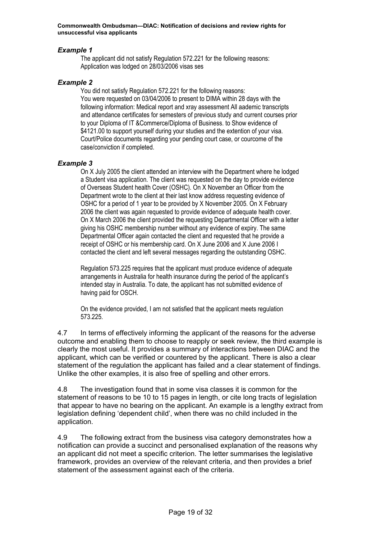#### *Example 1*

The applicant did not satisfy Regulation 572.221 for the following reasons: Application was lodged on 28/03/2006 visas ses

#### *Example 2*

You did not satisfy Regulation 572.221 for the following reasons: You were requested on 03/04/2006 to present to DIMA within 28 days with the following information: Medical report and xray assessment All aademic transcripts and attendance certificates for semesters of previous study and current courses prior to your Diploma of IT &Commerce/Diploma of Business. to Show evidence of \$4121.00 to support yourself during your studies and the extention of your visa. Court/Police documents regarding your pending court case, or courcome of the case/conviction if completed.

#### *Example 3*

On X July 2005 the client attended an interview with the Department where he lodged a Student visa application. The client was requested on the day to provide evidence of Overseas Student health Cover (OSHC). On X November an Officer from the Department wrote to the client at their last know address requesting evidence of OSHC for a period of 1 year to be provided by X November 2005. On X February 2006 the client was again requested to provide evidence of adequate health cover. On X March 2006 the client provided the requesting Departmental Officer with a letter giving his OSHC membership number without any evidence of expiry. The same Departmental Officer again contacted the client and requested that he provide a receipt of OSHC or his membership card. On X June 2006 and X June 2006 I contacted the client and left several messages regarding the outstanding OSHC.

Regulation 573.225 requires that the applicant must produce evidence of adequate arrangements in Australia for health insurance during the period of the applicant's intended stay in Australia. To date, the applicant has not submitted evidence of having paid for OSCH.

On the evidence provided, I am not satisfied that the applicant meets regulation 573.225.

4.7 In terms of effectively informing the applicant of the reasons for the adverse outcome and enabling them to choose to reapply or seek review, the third example is clearly the most useful. It provides a summary of interactions between DIAC and the applicant, which can be verified or countered by the applicant. There is also a clear statement of the regulation the applicant has failed and a clear statement of findings. Unlike the other examples, it is also free of spelling and other errors.

4.8 The investigation found that in some visa classes it is common for the statement of reasons to be 10 to 15 pages in length, or cite long tracts of legislation that appear to have no bearing on the applicant. An example is a lengthy extract from legislation defining 'dependent child', when there was no child included in the application.

4.9 The following extract from the business visa category demonstrates how a notification can provide a succinct and personalised explanation of the reasons why an applicant did not meet a specific criterion. The letter summarises the legislative framework, provides an overview of the relevant criteria, and then provides a brief statement of the assessment against each of the criteria.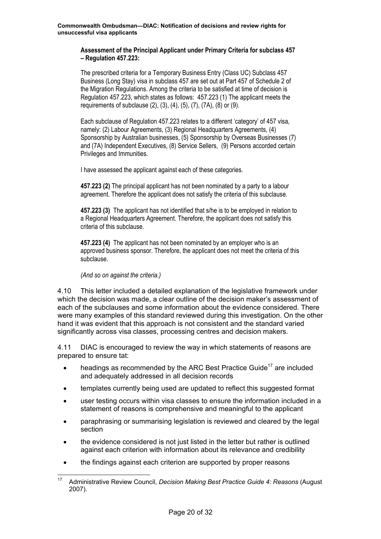#### **Assessment of the Principal Applicant under Primary Criteria for subclass 457 – Regulation 457.223:**

The prescribed criteria for a Temporary Business Entry (Class UC) Subclass 457 Business (Long Stay) visa in subclass 457 are set out at Part 457 of Schedule 2 of the Migration Regulations. Among the criteria to be satisfied at time of decision is Regulation 457.223, which states as follows: 457.223 (1) The applicant meets the requirements of subclause (2), (3), (4), (5), (7), (7A), (8) or (9).

Each subclause of Regulation 457.223 relates to a different 'category' of 457 visa, namely: (2) Labour Agreements, (3) Regional Headquarters Agreements, (4) Sponsorship by Australian businesses, (5) Sponsorship by Overseas Businesses (7) and (7A) Independent Executives, (8) Service Sellers, (9) Persons accorded certain Privileges and Immunities.

I have assessed the applicant against each of these categories.

**457.223 (2)** The principal applicant has not been nominated by a party to a labour agreement. Therefore the applicant does not satisfy the criteria of this subclause.

**457.223 (3)** The applicant has not identified that s/he is to be employed in relation to a Regional Headquarters Agreement. Therefore, the applicant does not satisfy this criteria of this subclause.

**457.223 (4)** The applicant has not been nominated by an employer who is an approved business sponsor. Therefore, the applicant does not meet the criteria of this subclause.

#### *(And so on against the criteria.)*

4.10 This letter included a detailed explanation of the legislative framework under which the decision was made, a clear outline of the decision maker's assessment of each of the subclauses and some information about the evidence considered. There were many examples of this standard reviewed during this investigation. On the other hand it was evident that this approach is not consistent and the standard varied significantly across visa classes, processing centres and decision makers.

4.11 DIAC is encouraged to review the way in which statements of reasons are prepared to ensure tat:

- headings as recommended by the ARC Best Practice Guide<sup>17</sup> are included and adequately addressed in all decision records
- templates currently being used are updated to reflect this suggested format
- user testing occurs within visa classes to ensure the information included in a statement of reasons is comprehensive and meaningful to the applicant
- paraphrasing or summarising legislation is reviewed and cleared by the legal section
- the evidence considered is not just listed in the letter but rather is outlined against each criterion with information about its relevance and credibility
- the findings against each criterion are supported by proper reasons

<span id="page-22-0"></span> <sup>17</sup> Administrative Review Council, *Decision Making Best Practice Guide 4: Reasons* (August 2007).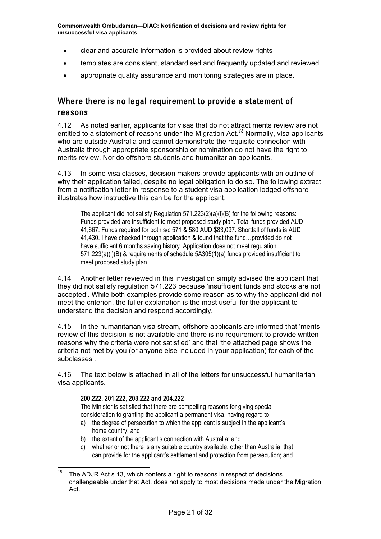- <span id="page-23-0"></span>• clear and accurate information is provided about review rights
- templates are consistent, standardised and frequently updated and reviewed
- appropriate quality assurance and monitoring strategies are in place.

## Where there is no legal requirement to provide a statement of reasons

4.12 As noted earlier, applicants for visas that do not attract merits review are not entitled to a statement of reasons under the Migration Act.*[18](#page-23-1)* Normally, visa applicants who are outside Australia and cannot demonstrate the requisite connection with Australia through appropriate sponsorship or nomination do not have the right to merits review. Nor do offshore students and humanitarian applicants.

4.13 In some visa classes, decision makers provide applicants with an outline of why their application failed, despite no legal obligation to do so. The following extract from a notification letter in response to a student visa application lodged offshore illustrates how instructive this can be for the applicant.

The applicant did not satisfy Regulation 571.223(2)(a)(i)(B) for the following reasons: Funds provided are insufficient to meet proposed study plan. Total funds provided AUD 41,667. Funds required for both s/c 571 & 580 AUD \$83,097. Shortfall of funds is AUD 41,430. I have checked through application & found that the fund…provided do not have sufficient 6 months saving history. Application does not meet regulation 571.223(a)(i)(B) & requirements of schedule 5A305(1)(a) funds provided insufficient to meet proposed study plan.

4.14 Another letter reviewed in this investigation simply advised the applicant that they did not satisfy regulation 571.223 because 'insufficient funds and stocks are not accepted'. While both examples provide some reason as to why the applicant did not meet the criterion, the fuller explanation is the most useful for the applicant to understand the decision and respond accordingly.

4.15 In the humanitarian visa stream, offshore applicants are informed that 'merits review of this decision is not available and there is no requirement to provide written reasons why the criteria were not satisfied' and that 'the attached page shows the criteria not met by you (or anyone else included in your application) for each of the subclasses'.

4.16 The text below is attached in all of the letters for unsuccessful humanitarian visa applicants.

#### **200.222, 201.222, 203.222 and 204.222**

The Minister is satisfied that there are compelling reasons for giving special consideration to granting the applicant a permanent visa, having regard to:

- a) the degree of persecution to which the applicant is subject in the applicant's home country; and
- b) the extent of the applicant's connection with Australia; and
- c) whether or not there is any suitable country available, other than Australia, that can provide for the applicant's settlement and protection from persecution; and

<span id="page-23-1"></span><sup>&</sup>lt;sup>18</sup> The ADJR Act s 13, which confers a right to reasons in respect of decisions challengeable under that Act, does not apply to most decisions made under the Migration Act.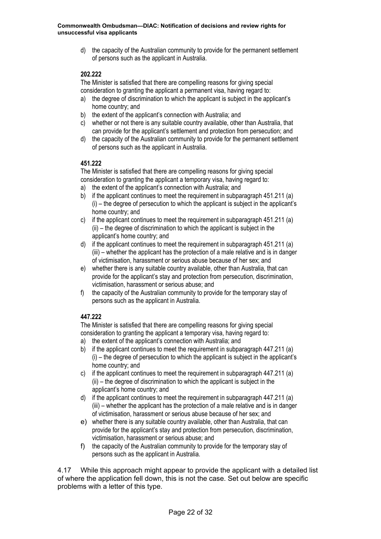d) the capacity of the Australian community to provide for the permanent settlement of persons such as the applicant in Australia.

#### **202.222**

The Minister is satisfied that there are compelling reasons for giving special consideration to granting the applicant a permanent visa, having regard to:

- a) the degree of discrimination to which the applicant is subject in the applicant's home country; and
- b) the extent of the applicant's connection with Australia; and
- c) whether or not there is any suitable country available, other than Australia, that can provide for the applicant's settlement and protection from persecution; and
- d) the capacity of the Australian community to provide for the permanent settlement of persons such as the applicant in Australia.

#### **451.222**

The Minister is satisfied that there are compelling reasons for giving special consideration to granting the applicant a temporary visa, having regard to:

- a) the extent of the applicant's connection with Australia; and
- b) if the applicant continues to meet the requirement in subparagraph 451.211 (a) (i) – the degree of persecution to which the applicant is subject in the applicant's home country; and
- c) if the applicant continues to meet the requirement in subparagraph 451.211 (a) (ii) – the degree of discrimination to which the applicant is subject in the applicant's home country; and
- d) if the applicant continues to meet the requirement in subparagraph 451.211 (a) (iii) – whether the applicant has the protection of a male relative and is in danger of victimisation, harassment or serious abuse because of her sex; and
- e) whether there is any suitable country available, other than Australia, that can provide for the applicant's stay and protection from persecution, discrimination, victimisation, harassment or serious abuse; and
- f) the capacity of the Australian community to provide for the temporary stay of persons such as the applicant in Australia.

#### **447.222**

The Minister is satisfied that there are compelling reasons for giving special consideration to granting the applicant a temporary visa, having regard to:

- a) the extent of the applicant's connection with Australia; and
- b) if the applicant continues to meet the requirement in subparagraph 447.211 (a) (i) – the degree of persecution to which the applicant is subject in the applicant's home country; and
- c) if the applicant continues to meet the requirement in subparagraph 447.211 (a) (ii) – the degree of discrimination to which the applicant is subject in the applicant's home country; and
- d) if the applicant continues to meet the requirement in subparagraph 447.211 (a) (iii) – whether the applicant has the protection of a male relative and is in danger of victimisation, harassment or serious abuse because of her sex; and
- e) whether there is any suitable country available, other than Australia, that can provide for the applicant's stay and protection from persecution, discrimination, victimisation, harassment or serious abuse; and
- f) the capacity of the Australian community to provide for the temporary stay of persons such as the applicant in Australia.

4.17 While this approach might appear to provide the applicant with a detailed list of where the application fell down, this is not the case. Set out below are specific problems with a letter of this type.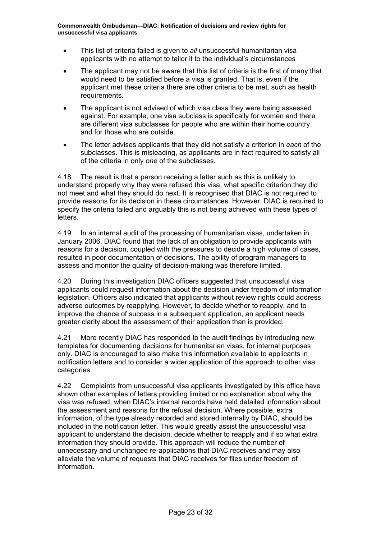- This list of criteria failed is given to *all* unsuccessful humanitarian visa applicants with no attempt to tailor it to the individual's circumstances
- The applicant may not be aware that this list of criteria is the first of many that would need to be satisfied before a visa is granted. That is, even if the applicant met these criteria there are other criteria to be met, such as health requirements.
- The applicant is not advised of which visa class they were being assessed against. For example, one visa subclass is specifically for women and there are different visa subclasses for people who are within their home country and for those who are outside.
- The letter advises applicants that they did not satisfy a criterion in *each* of the subclasses. This is misleading, as applicants are in fact required to satisfy all of the criteria in only *one* of the subclasses.

4.18 The result is that a person receiving a letter such as this is unlikely to understand properly why they were refused this visa, what specific criterion they did not meet and what they should do next. It is recognised that DIAC is not required to provide reasons for its decision in these circumstances. However, DIAC is required to specify the criteria failed and arguably this is not being achieved with these types of letters.

4.19 In an internal audit of the processing of humanitarian visas, undertaken in January 2006, DIAC found that the lack of an obligation to provide applicants with reasons for a decision, coupled with the pressures to decide a high volume of cases, resulted in poor documentation of decisions. The ability of program managers to assess and monitor the quality of decision-making was therefore limited.

4.20 During this investigation DIAC officers suggested that unsuccessful visa applicants could request information about the decision under freedom of information legislation. Officers also indicated that applicants without review rights could address adverse outcomes by reapplying. However, to decide whether to reapply, and to improve the chance of success in a subsequent application, an applicant needs greater clarity about the assessment of their application than is provided.

4.21 More recently DIAC has responded to the audit findings by introducing new templates for documenting decisions for humanitarian visas, for internal purposes only. DIAC is encouraged to also make this information available to applicants in notification letters and to consider a wider application of this approach to other visa categories.

4.22 Complaints from unsuccessful visa applicants investigated by this office have shown other examples of letters providing limited or no explanation about why the visa was refused, when DIAC's internal records have held detailed information about the assessment and reasons for the refusal decision. Where possible, extra information, of the type already recorded and stored internally by DIAC, should be included in the notification letter. This would greatly assist the unsuccessful visa applicant to understand the decision, decide whether to reapply and if so what extra information they should provide. This approach will reduce the number of unnecessary and unchanged re-applications that DIAC receives and may also alleviate the volume of requests that DIAC receives for files under freedom of information.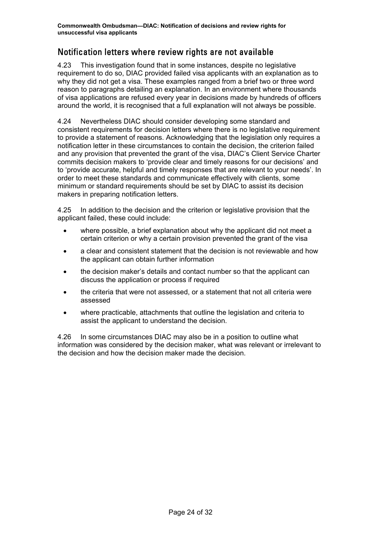## <span id="page-26-0"></span>Notification letters where review rights are not available

4.23 This investigation found that in some instances, despite no legislative requirement to do so, DIAC provided failed visa applicants with an explanation as to why they did not get a visa. These examples ranged from a brief two or three word reason to paragraphs detailing an explanation. In an environment where thousands of visa applications are refused every year in decisions made by hundreds of officers around the world, it is recognised that a full explanation will not always be possible.

4.24 Nevertheless DIAC should consider developing some standard and consistent requirements for decision letters where there is no legislative requirement to provide a statement of reasons. Acknowledging that the legislation only requires a notification letter in these circumstances to contain the decision, the criterion failed and any provision that prevented the grant of the visa, DIAC's Client Service Charter commits decision makers to 'provide clear and timely reasons for our decisions' and to 'provide accurate, helpful and timely responses that are relevant to your needs'. In order to meet these standards and communicate effectively with clients, some minimum or standard requirements should be set by DIAC to assist its decision makers in preparing notification letters.

4.25 In addition to the decision and the criterion or legislative provision that the applicant failed, these could include:

- where possible, a brief explanation about why the applicant did not meet a certain criterion or why a certain provision prevented the grant of the visa
- a clear and consistent statement that the decision is not reviewable and how the applicant can obtain further information
- the decision maker's details and contact number so that the applicant can discuss the application or process if required
- the criteria that were not assessed, or a statement that not all criteria were assessed
- where practicable, attachments that outline the legislation and criteria to assist the applicant to understand the decision.

4.26 In some circumstances DIAC may also be in a position to outline what information was considered by the decision maker, what was relevant or irrelevant to the decision and how the decision maker made the decision.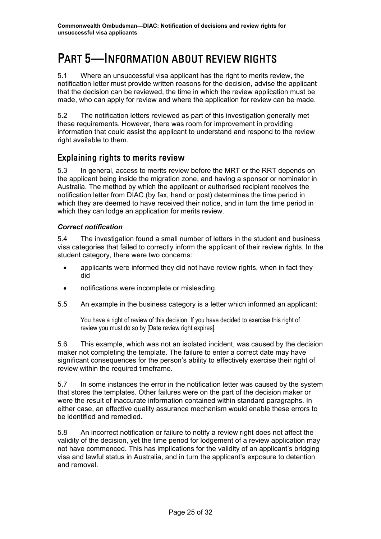## <span id="page-27-0"></span>PART 5—INFORMATION ABOUT REVIEW RIGHTS

5.1 Where an unsuccessful visa applicant has the right to merits review, the notification letter must provide written reasons for the decision, advise the applicant that the decision can be reviewed, the time in which the review application must be made, who can apply for review and where the application for review can be made.

5.2 The notification letters reviewed as part of this investigation generally met these requirements. However, there was room for improvement in providing information that could assist the applicant to understand and respond to the review right available to them.

### Explaining rights to merits review

5.3 In general, access to merits review before the MRT or the RRT depends on the applicant being inside the migration zone, and having a sponsor or nominator in Australia. The method by which the applicant or authorised recipient receives the notification letter from DIAC (by fax, hand or post) determines the time period in which they are deemed to have received their notice, and in turn the time period in which they can lodge an application for merits review.

#### *Correct notification*

5.4 The investigation found a small number of letters in the student and business visa categories that failed to correctly inform the applicant of their review rights. In the student category, there were two concerns:

- applicants were informed they did not have review rights, when in fact they did
- notifications were incomplete or misleading.
- 5.5 An example in the business category is a letter which informed an applicant:

You have a right of review of this decision. If you have decided to exercise this right of review you must do so by [Date review right expires].

5.6 This example, which was not an isolated incident, was caused by the decision maker not completing the template. The failure to enter a correct date may have significant consequences for the person's ability to effectively exercise their right of review within the required timeframe.

5.7 In some instances the error in the notification letter was caused by the system that stores the templates. Other failures were on the part of the decision maker or were the result of inaccurate information contained within standard paragraphs. In either case, an effective quality assurance mechanism would enable these errors to be identified and remedied.

5.8 An incorrect notification or failure to notify a review right does not affect the validity of the decision, yet the time period for lodgement of a review application may not have commenced. This has implications for the validity of an applicant's bridging visa and lawful status in Australia, and in turn the applicant's exposure to detention and removal.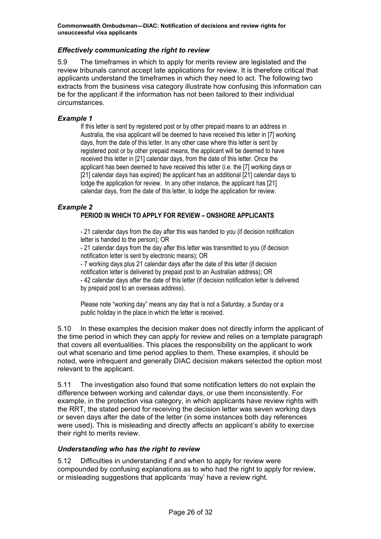#### <span id="page-28-0"></span>*Effectively communicating the right to review*

5.9 The timeframes in which to apply for merits review are legislated and the review tribunals cannot accept late applications for review. It is therefore critical that applicants understand the timeframes in which they need to act. The following two extracts from the business visa category illustrate how confusing this information can be for the applicant if the information has not been tailored to their individual circumstances.

#### *Example 1*

If this letter is sent by registered post or by other prepaid means to an address in Australia, the visa applicant will be deemed to have received this letter in [7] working days, from the date of this letter. In any other case where this letter is sent by registered post or by other prepaid means, the applicant will be deemed to have received this letter in [21] calendar days, from the date of this letter. Once the applicant has been deemed to have received this letter (i.e. the [7] working days or [21] calendar days has expired) the applicant has an additional [21] calendar days to lodge the application for review. In any other instance, the applicant has [21] calendar days, from the date of this letter, to lodge the application for review.

#### *Example 2*

#### **PERIOD IN WHICH TO APPLY FOR REVIEW – ONSHORE APPLICANTS**

- 21 calendar days from the day after this was handed to you (if decision notification letter is handed to the person); OR

- 21 calendar days from the day after this letter was transmitted to you (if decision notification letter is sent by electronic means); OR

- 7 working days plus 21 calendar days after the date of this letter (if decision notification letter is delivered by prepaid post to an Australian address); OR - 42 calendar days after the date of this letter (if decision notification letter is delivered by prepaid post to an overseas address).

Please note "working day" means any day that is not a Saturday, a Sunday or a public holiday in the place in which the letter is received.

5.10 In these examples the decision maker does not directly inform the applicant of the time period in which they can apply for review and relies on a template paragraph that covers all eventualities. This places the responsibility on the applicant to work out what scenario and time period applies to them. These examples, it should be noted, were infrequent and generally DIAC decision makers selected the option most relevant to the applicant.

5.11 The investigation also found that some notification letters do not explain the difference between working and calendar days, or use them inconsistently. For example, in the protection visa category, in which applicants have review rights with the RRT, the stated period for receiving the decision letter was seven working days or seven days after the date of the letter (in some instances both day references were used). This is misleading and directly affects an applicant's ability to exercise their right to merits review.

#### *Understanding who has the right to review*

5.12 Difficulties in understanding if and when to apply for review were compounded by confusing explanations as to who had the right to apply for review, or misleading suggestions that applicants 'may' have a review right.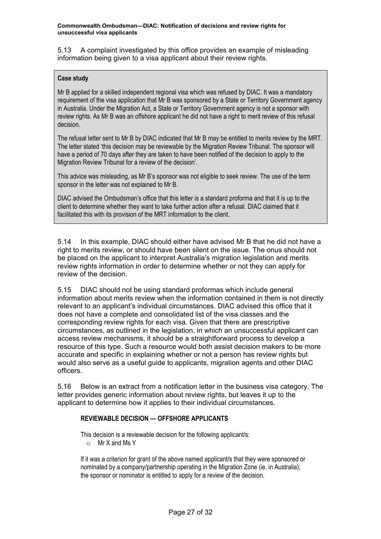5.13 A complaint investigated by this office provides an example of misleading information being given to a visa applicant about their review rights.

#### **Case study**

Mr B applied for a skilled independent regional visa which was refused by DIAC. It was a mandatory requirement of the visa application that Mr B was sponsored by a State or Territory Government agency in Australia. Under the Migration Act, a State or Territory Government agency is not a sponsor with review rights. As Mr B was an offshore applicant he did not have a right to merit review of this refusal decision.

The refusal letter sent to Mr B by DIAC indicated that Mr B may be entitled to merits review by the MRT. The letter stated 'this decision may be reviewable by the Migration Review Tribunal. The sponsor will have a period of 70 days after they are taken to have been notified of the decision to apply to the Migration Review Tribunal for a review of the decision'.

This advice was misleading, as Mr B's sponsor was not eligible to seek review. The use of the term sponsor in the letter was not explained to Mr B.

DIAC advised the Ombudsman's office that this letter is a standard proforma and that it is up to the client to determine whether they want to take further action after a refusal. DIAC claimed that it facilitated this with its provision of the MRT information to the client.

5.14 In this example, DIAC should either have advised Mr B that he did not have a right to merits review, or should have been silent on the issue. The onus should not be placed on the applicant to interpret Australia's migration legislation and merits review rights information in order to determine whether or not they can apply for review of the decision.

5.15 DIAC should not be using standard proformas which include general information about merits review when the information contained in them is not directly relevant to an applicant's individual circumstances. DIAC advised this office that it does not have a complete and consolidated list of the visa classes and the corresponding review rights for each visa. Given that there are prescriptive circumstances, as outlined in the legislation, in which an unsuccessful applicant can access review mechanisms, it should be a straightforward process to develop a resource of this type. Such a resource would both assist decision makers to be more accurate and specific in explaining whether or not a person has review rights but would also serve as a useful guide to applicants, migration agents and other DIAC officers.

5.16 Below is an extract from a notification letter in the business visa category. The letter provides generic information about review rights, but leaves it up to the applicant to determine how it applies to their individual circumstances.

#### **REVIEWABLE DECISION — OFFSHORE APPLICANTS**

This decision is a reviewable decision for the following applicant/s:

o Mr X and Ms Y

If it was a criterion for grant of the above named applicant/s that they were sponsored or nominated by a company/partnership operating in the Migration Zone (ie. in Australia); the sponsor or nominator is entitled to apply for a review of the decision.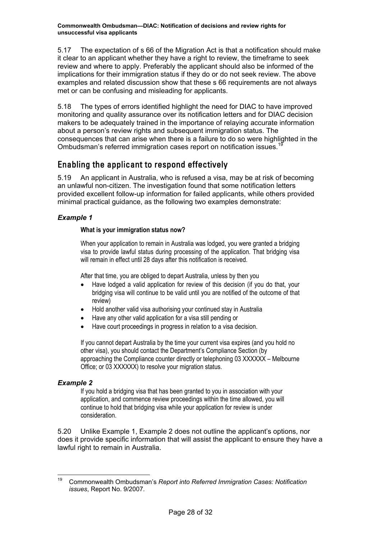<span id="page-30-0"></span>5.17 The expectation of s 66 of the Migration Act is that a notification should make it clear to an applicant whether they have a right to review, the timeframe to seek review and where to apply. Preferably the applicant should also be informed of the implications for their immigration status if they do or do not seek review. The above examples and related discussion show that these s 66 requirements are not always met or can be confusing and misleading for applicants.

5.18 The types of errors identified highlight the need for DIAC to have improved monitoring and quality assurance over its notification letters and for DIAC decision makers to be adequately trained in the importance of relaying accurate information about a person's review rights and subsequent immigration status. The consequences that can arise when there is a failure to do so were highlighted in the Ombudsman's referred immigration cases report on notification issues.<sup>[19](#page-30-1)</sup>

## Enabling the applicant to respond effectively

5.19 An applicant in Australia, who is refused a visa, may be at risk of becoming an unlawful non-citizen. The investigation found that some notification letters provided excellent follow-up information for failed applicants, while others provided minimal practical guidance, as the following two examples demonstrate:

#### *Example 1*

#### **What is your immigration status now?**

When your application to remain in Australia was lodged, you were granted a bridging visa to provide lawful status during processing of the application. That bridging visa will remain in effect until 28 days after this notification is received.

After that time, you are obliged to depart Australia, unless by then you

- Have lodged a valid application for review of this decision (if you do that, your bridging visa will continue to be valid until you are notified of the outcome of that review)
- Hold another valid visa authorising your continued stay in Australia
- Have any other valid application for a visa still pending or
- Have court proceedings in progress in relation to a visa decision.

If you cannot depart Australia by the time your current visa expires (and you hold no other visa), you should contact the Department's Compliance Section (by approaching the Compliance counter directly or telephoning 03 XXXXXX – Melbourne Office; or 03 XXXXXX) to resolve your migration status.

#### *Example 2*

If you hold a bridging visa that has been granted to you in association with your application, and commence review proceedings within the time allowed, you will continue to hold that bridging visa while your application for review is under consideration.

5.20 Unlike Example 1, Example 2 does not outline the applicant's options, nor does it provide specific information that will assist the applicant to ensure they have a lawful right to remain in Australia.

<span id="page-30-1"></span> <sup>19</sup> Commonwealth Ombudsman's *Report into Referred Immigration Cases: Notification issues*, Report No. 9/2007*.*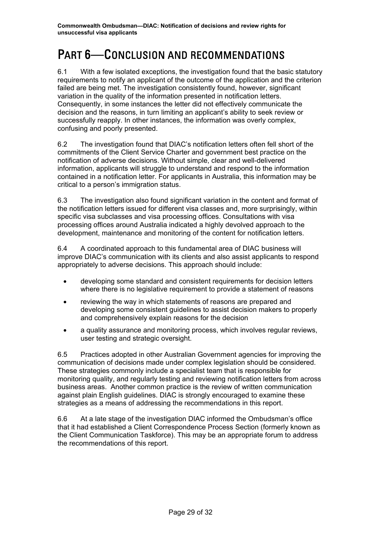## <span id="page-31-0"></span>PART 6—CONCLUSION AND RECOMMENDATIONS

6.1 With a few isolated exceptions, the investigation found that the basic statutory requirements to notify an applicant of the outcome of the application and the criterion failed are being met. The investigation consistently found, however, significant variation in the quality of the information presented in notification letters. Consequently, in some instances the letter did not effectively communicate the decision and the reasons, in turn limiting an applicant's ability to seek review or successfully reapply. In other instances, the information was overly complex, confusing and poorly presented.

6.2 The investigation found that DIAC's notification letters often fell short of the commitments of the Client Service Charter and government best practice on the notification of adverse decisions. Without simple, clear and well-delivered information, applicants will struggle to understand and respond to the information contained in a notification letter. For applicants in Australia, this information may be critical to a person's immigration status.

6.3 The investigation also found significant variation in the content and format of the notification letters issued for different visa classes and, more surprisingly, within specific visa subclasses and visa processing offices. Consultations with visa processing offices around Australia indicated a highly devolved approach to the development, maintenance and monitoring of the content for notification letters.

6.4 A coordinated approach to this fundamental area of DIAC business will improve DIAC's communication with its clients and also assist applicants to respond appropriately to adverse decisions. This approach should include:

- developing some standard and consistent requirements for decision letters where there is no legislative requirement to provide a statement of reasons
- reviewing the way in which statements of reasons are prepared and developing some consistent guidelines to assist decision makers to properly and comprehensively explain reasons for the decision
- a quality assurance and monitoring process, which involves regular reviews, user testing and strategic oversight.

6.5 Practices adopted in other Australian Government agencies for improving the communication of decisions made under complex legislation should be considered. These strategies commonly include a specialist team that is responsible for monitoring quality, and regularly testing and reviewing notification letters from across business areas. Another common practice is the review of written communication against plain English guidelines. DIAC is strongly encouraged to examine these strategies as a means of addressing the recommendations in this report.

6.6 At a late stage of the investigation DIAC informed the Ombudsman's office that it had established a Client Correspondence Process Section (formerly known as the Client Communication Taskforce). This may be an appropriate forum to address the recommendations of this report.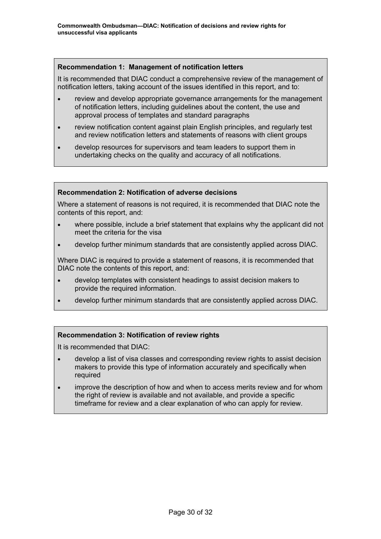#### **Recommendation 1: Management of notification letters**

It is recommended that DIAC conduct a comprehensive review of the management of notification letters, taking account of the issues identified in this report, and to:

- review and develop appropriate governance arrangements for the management of notification letters, including guidelines about the content, the use and approval process of templates and standard paragraphs
- review notification content against plain English principles, and regularly test and review notification letters and statements of reasons with client groups
- develop resources for supervisors and team leaders to support them in undertaking checks on the quality and accuracy of all notifications.

#### **Recommendation 2: Notification of adverse decisions**

Where a statement of reasons is not required, it is recommended that DIAC note the contents of this report, and:

- where possible, include a brief statement that explains why the applicant did not meet the criteria for the visa
- develop further minimum standards that are consistently applied across DIAC.

Where DIAC is required to provide a statement of reasons, it is recommended that DIAC note the contents of this report, and:

- develop templates with consistent headings to assist decision makers to provide the required information.
- develop further minimum standards that are consistently applied across DIAC.

#### **Recommendation 3: Notification of review rights**

It is recommended that DIAC:

- develop a list of visa classes and corresponding review rights to assist decision makers to provide this type of information accurately and specifically when required
- improve the description of how and when to access merits review and for whom the right of review is available and not available, and provide a specific timeframe for review and a clear explanation of who can apply for review.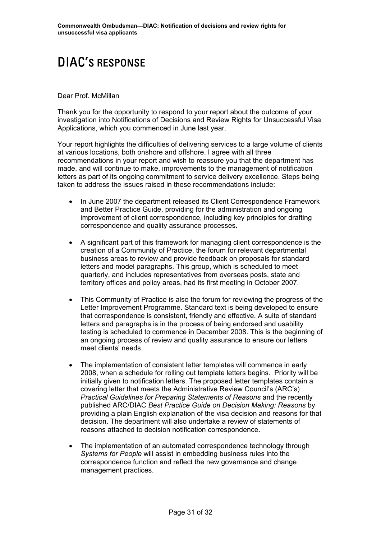## <span id="page-33-0"></span>DIAC'S RESPONSE

#### Dear Prof. McMillan

Thank you for the opportunity to respond to your report about the outcome of your investigation into Notifications of Decisions and Review Rights for Unsuccessful Visa Applications, which you commenced in June last year.

Your report highlights the difficulties of delivering services to a large volume of clients at various locations, both onshore and offshore. I agree with all three recommendations in your report and wish to reassure you that the department has made, and will continue to make, improvements to the management of notification letters as part of its ongoing commitment to service delivery excellence. Steps being taken to address the issues raised in these recommendations include:

- In June 2007 the department released its Client Correspondence Framework and Better Practice Guide, providing for the administration and ongoing improvement of client correspondence, including key principles for drafting correspondence and quality assurance processes.
- A significant part of this framework for managing client correspondence is the creation of a Community of Practice, the forum for relevant departmental business areas to review and provide feedback on proposals for standard letters and model paragraphs. This group, which is scheduled to meet quarterly, and includes representatives from overseas posts, state and territory offices and policy areas, had its first meeting in October 2007.
- This Community of Practice is also the forum for reviewing the progress of the Letter Improvement Programme. Standard text is being developed to ensure that correspondence is consistent, friendly and effective. A suite of standard letters and paragraphs is in the process of being endorsed and usability testing is scheduled to commence in December 2008. This is the beginning of an ongoing process of review and quality assurance to ensure our letters meet clients' needs.
- The implementation of consistent letter templates will commence in early 2008, when a schedule for rolling out template letters begins. Priority will be initially given to notification letters. The proposed letter templates contain a covering letter that meets the Administrative Review Council's (ARC's) *Practical Guidelines for Preparing Statements of Reasons* and the recently published ARC/DIAC *Best Practice Guide on Decision Making: Reasons* by providing a plain English explanation of the visa decision and reasons for that decision. The department will also undertake a review of statements of reasons attached to decision notification correspondence.
- The implementation of an automated correspondence technology through *Systems for People* will assist in embedding business rules into the correspondence function and reflect the new governance and change management practices.